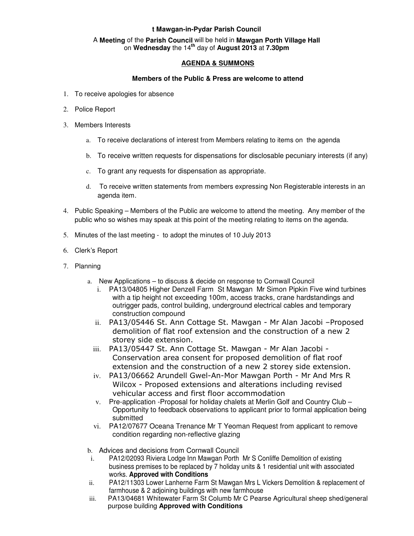## **t Mawgan-in-Pydar Parish Council**

## A **Meeting** of the **Parish Council** will be held in **Mawgan Porth Village Hall** on **Wednesday** the 14**th** day of **August 2013** at **7.30pm**

## **AGENDA & SUMMONS**

## **Members of the Public & Press are welcome to attend**

- 1. To receive apologies for absence
- 2. Police Report
- 3. Members Interests
	- a. To receive declarations of interest from Members relating to items on the agenda
	- b. To receive written requests for dispensations for disclosable pecuniary interests (if any)
	- c. To grant any requests for dispensation as appropriate.
	- d. To receive written statements from members expressing Non Registerable interests in an agenda item.
- 4. Public Speaking Members of the Public are welcome to attend the meeting. Any member of the public who so wishes may speak at this point of the meeting relating to items on the agenda.
- 5. Minutes of the last meeting to adopt the minutes of 10 July 2013
- 6. Clerk's Report
- 7. Planning
	- a. New Applications to discuss & decide on response to Cornwall Council
		- i. PA13/04805 Higher Denzell Farm St Mawgan Mr Simon Pipkin Five wind turbines with a tip height not exceeding 100m, access tracks, crane hardstandings and outrigger pads, control building, underground electrical cables and temporary construction compound
		- ii. PA13/05446 St. Ann Cottage St. Mawgan Mr Alan Jacobi –Proposed demolition of flat roof extension and the construction of a new 2 storey side extension.
		- iii. PA13/05447 St. Ann Cottage St. Mawgan Mr Alan Jacobi Conservation area consent for proposed demolition of flat roof extension and the construction of a new 2 storey side extension.
		- iv. PA13/06662 Arundell Gwel-An-Mor Mawgan Porth Mr And Mrs R Wilcox - Proposed extensions and alterations including revised vehicular access and first floor accommodation
		- v. Pre-application -Proposal for holiday chalets at Merlin Golf and Country Club Opportunity to feedback observations to applicant prior to formal application being submitted
		- vi. PA12/07677 Oceana Trenance Mr T Yeoman Request from applicant to remove condition regarding non-reflective glazing
	- b. Advices and decisions from Cornwall Council
	- i. PA12/02093 Riviera Lodge Inn Mawgan Porth Mr S Conliffe Demolition of existing business premises to be replaced by 7 holiday units & 1 residential unit with associated works. **Approved with Conditions**
	- ii. PA12/11303 Lower Lanherne Farm St Mawgan Mrs L Vickers Demolition & replacement of farmhouse & 2 adjoining buildings with new farmhouse
	- iii. PA13/04681 Whitewater Farm St Columb Mr C Pearse Agricultural sheep shed/general purpose building **Approved with Conditions**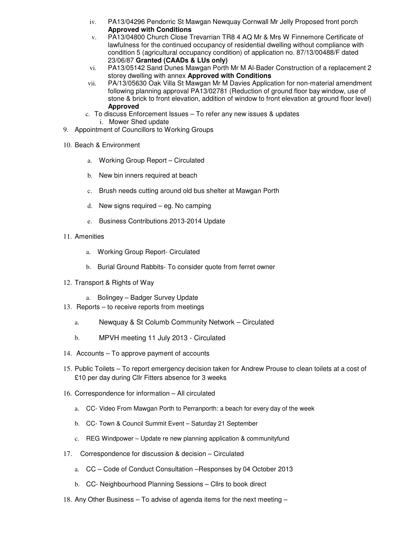- iv. PA13/04296 Pendorric St Mawgan Newquay Cornwall Mr Jelly Proposed front porch **Approved with Conditions**
- v. PA13/04800 Church Close Trevarrian TR8 4 AQ Mr & Mrs W Finnemore Certificate of lawfulness for the continued occupancy of residential dwelling without compliance with condition 5 (agricultural occupancy condition) of application no. 87/13/00488/F dated 23/06/87 **Granted (CAADs & LUs only)**
- vi. PA13/05142 Sand Dunes Mawgan Porth Mr M Al-Bader Construction of a replacement 2 storey dwelling with annex **Approved with Conditions**
- vii. PA/13/05630 Oak Villa St Mawgan Mr M Davies Application for non-material amendment following planning approval PA13/02781 (Reduction of ground floor bay window, use of stone & brick to front elevation, addition of window to front elevation at ground floor level) **Approved**
- c. To discuss Enforcement Issues To refer any new issues & updates i. Mower Shed update
- 9. Appointment of Councillors to Working Groups
- 10. Beach & Environment
	- a. Working Group Report Circulated
	- b. New bin inners required at beach
	- c. Brush needs cutting around old bus shelter at Mawgan Porth
	- d. New signs required eg. No camping
	- e. Business Contributions 2013-2014 Update
- 11. Amenities
	- a. Working Group Report- Circulated
	- b. Burial Ground Rabbits- To consider quote from ferret owner
- 12. Transport & Rights of Way
	- a. Bolingey Badger Survey Update
- 13. Reports to receive reports from meetings
	- a. Newquay & St Columb Community Network Circulated
	- b. MPVH meeting 11 July 2013 Circulated
- 14. Accounts To approve payment of accounts
- 15. Public Toilets To report emergency decision taken for Andrew Prouse to clean toilets at a cost of £10 per day during Cllr Fitters absence for 3 weeks
- 16. Correspondence for information All circulated
	- a. CC- Video From Mawgan Porth to Perranporth: a beach for every day of the week
	- b. CC- Town & Council Summit Event Saturday 21 September
	- c. REG Windpower Update re new planning application & communityfund
- 17. Correspondence for discussion & decision Circulated
	- a. CC Code of Conduct Consultation –Responses by 04 October 2013
	- b. CC- Neighbourhood Planning Sessions Cllrs to book direct
- 18. Any Other Business To advise of agenda items for the next meeting –